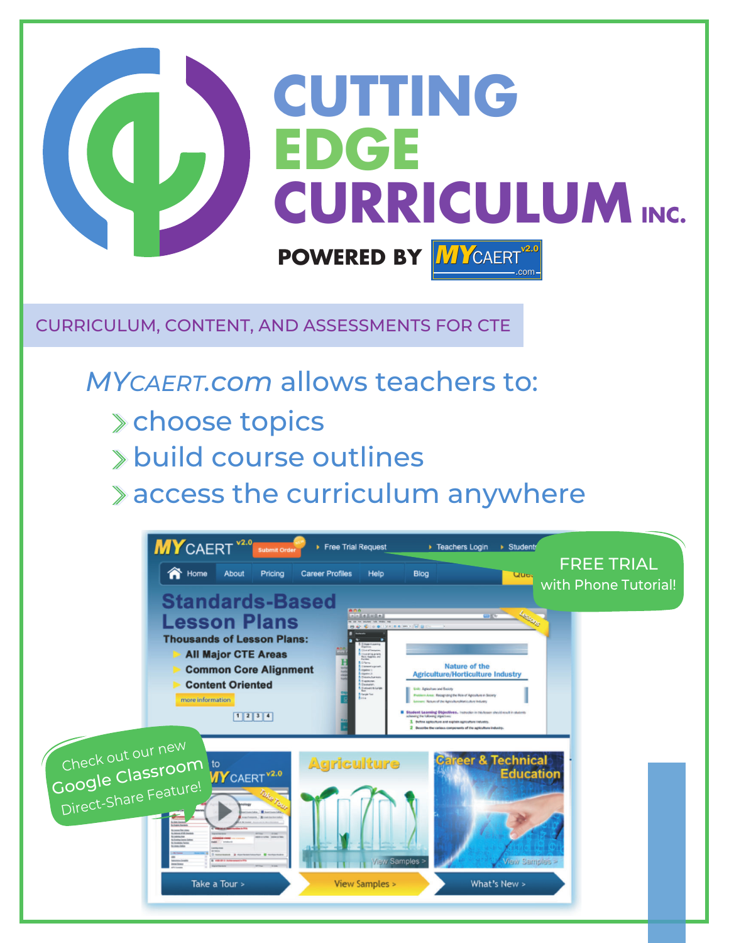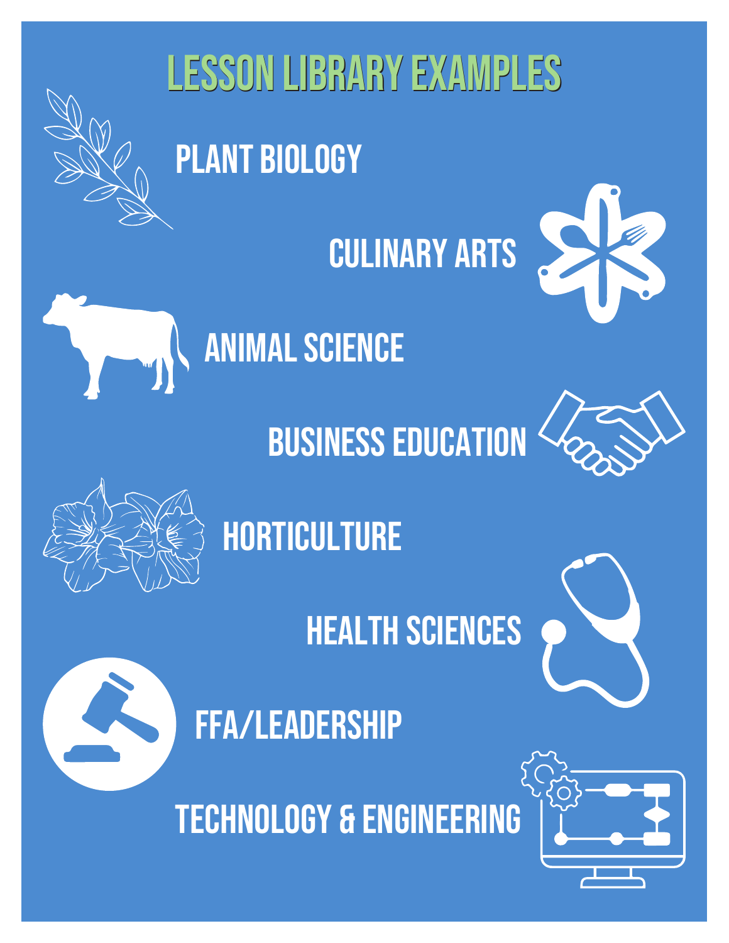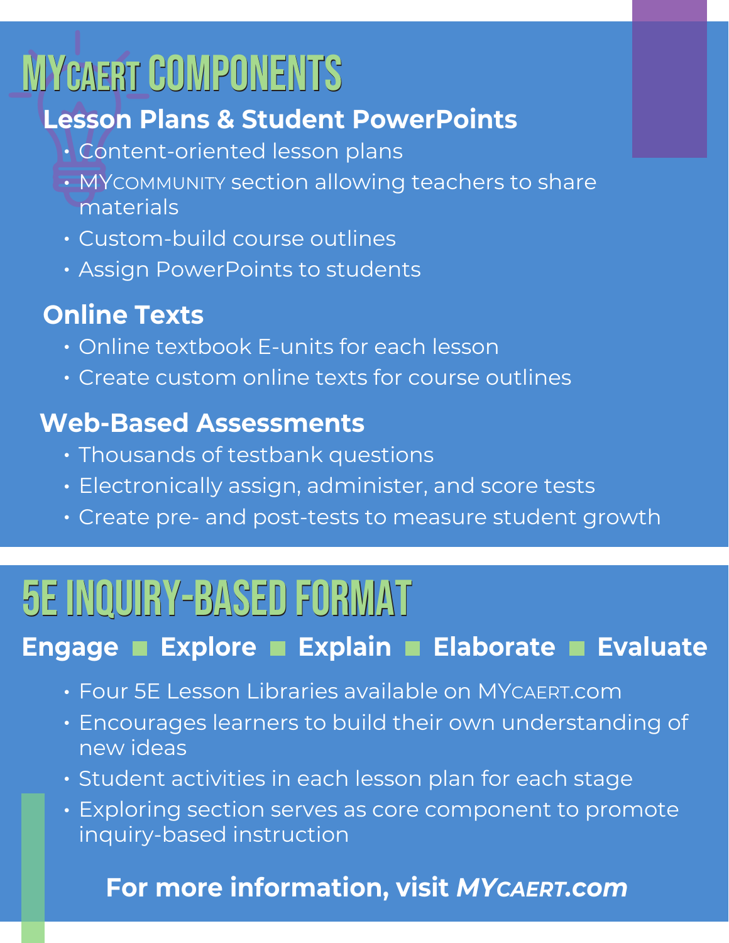# **MYCAERT COMPONENTS**

#### **Lesson Plans & Student PowerPoints**

- Content-oriented lesson plans
- $\boldsymbol{\cdot}$  MY $\boldsymbol{\cdot}$ COMMUNITY section allowing teachers to share materials
- Custom-build course outlines
- Assign PowerPoints to students

### **Online Texts**

- Online textbook E-units for each lesson
- Create custom online texts for course outlines

#### **Web-Based Assessments**

- $\boldsymbol{\cdot}$  Thousands of testbank questions
- Electronically assign, administer, and score tests
- Create pre- and post-tests to measure student growth

# 5E INQUIRY-BASED FORMAT 5E INQUIRY-BASED FORMAT

#### **Engage Explore Explain Elaborate Evaluate**

- $\bm{\cdot}$  Four 5E Lesson Libraries available on MY $\sf C AERT.$ com
- Encourages learners to build their own understanding of new ideas
- $\boldsymbol{\cdot}$  Student activities in each lesson plan for each stage
- Exploring section serves as core component to promote inquiry-based instruction

#### **For more information, visit MY CAERT.COM**